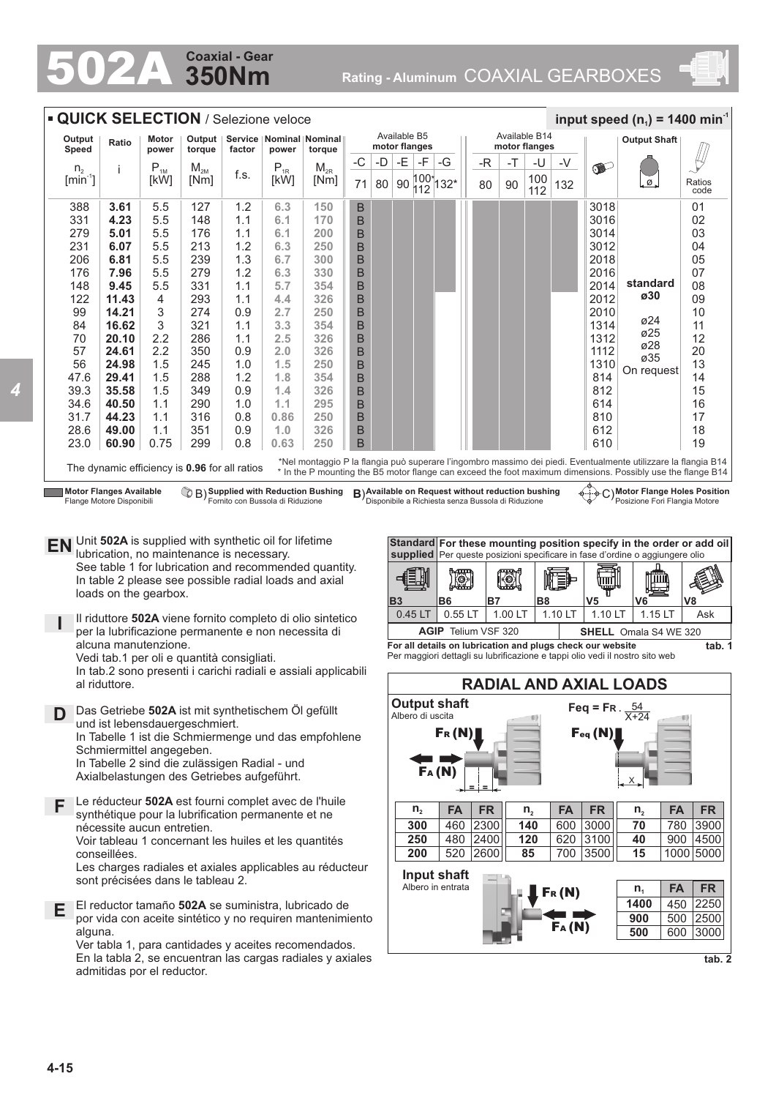## **350Nm Coaxial - Gear**

502A **Rating - Aluminum** COAXIAL GEARBOXES





Axialbelastungen des Getriebes aufgeführt.

**F** Le réducteur **502A** est fourni complet avec de l'huile synthétique pour la lubrification permanente et ne nécessite aucun entretien.

Voir tableau 1 concernant les huiles et les quantités conseillées.

Les charges radiales et axiales applicables au réducteur sont précisées dans le tableau 2.

**E** El reductor tamaño **502A** se suministra, lubricado de por vida con aceite sintético y no requiren mantenimiento alguna.

Ver tabla 1, para cantidades y aceites recomendados. En la tabla 2, se encuentran las cargas radiales y axiales admitidas por el reductor.

**tab. 2**

FR (N)

FA (N)

**140** 600 3000 **120** 620 3100 **85** 700 3500 X

 $n_2$  **FA FR n**<sub>2</sub> **FA FR** 

**70** 780 3900 **40** 900 4500 **15** 1000 5000

**1400** 450 2250 **900** 500 2500 **500** 600 3000

**n<sup>1</sup> FA FR**

**Input shaft** Albero in entrata

**300** 460 **250** 480 2400 **200** 520 2600

**n2**

2300 **FA FR**

**= =**